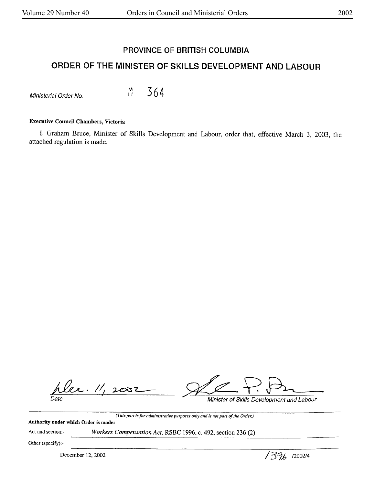# **PROVINCE OF BRITISH COLUMBIA**

# **ORDER OF THE MINISTER OF SKILLS DEVELOPMENT AND LABOUR**

 $M$ inisterial Order No.  $M$  364

### **Executive Council Chambers, Victoria**

I, Graham Bruce, Minister of Skills Development and Labour, order that, effective March 3, 2003, the attached regulation is made.

lee. 11, 2007 Date

Minister of Skills Development and Labour

Minister of Skills Development and Labour

*(This part is for administrative purposes only and is not part of the Order.)*  **Authority under which Order is made:** 

Act and section:-

*Workers Compensation Act,* RSBC 1996, c. 492, section 236 (2)

Other (specify):-

December 12, 2002 *I 39<sub>b</sub>*  $/2002/4$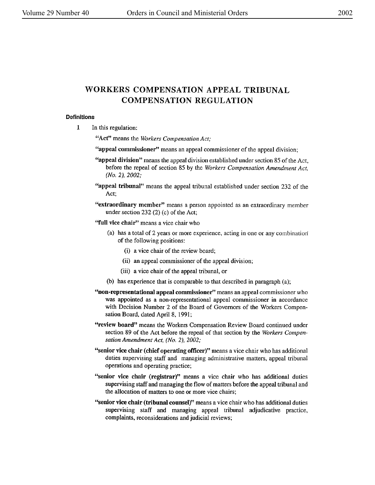# **WORKERS COMPENSATION** APPEAL TRIBUNAL **COMPENSATION** REGULATION

#### **Definitions**

**1** In this regulation:

**"Act"** means the *Workers Compensation Act;* 

**''appeal commissioner''** means an appeal commissioner of the appeal division;

- **"appeal division"** means the appeal division established under section 85 of the Act, before the repeal of section 85 by the *Workers Compensation Amendment Act,*  (No. 2), 2002;
- **''appeal tribunal"** means the appeal tribunal established under section 232 of the Act;
- **"extraordinary member"** means a person appointed as an extraordinary member under section 232 (2) (c) of the Act;

**''full vice chair''** means a vice chair who

- (a) has a total of 2 years or more experience, acting in one or any combination of the following positions:
	- (i) a vice chair of the review board;
	- (ii) an appeal commissioner of the appeal division;
	- (iii) a vice chair of the appeal tribunal, or
- (b) has experience that is comparable to that described in paragraph (a);
- **''non-representational appeal commissioner''** means an appeal commissioner who was appointed as a non-representational appeal commissioner in accordance with Decision Number 2 of the Board of Governors of the Workers Compensation Board, dated April 8, 1991;
- **"review board"** means the Workers Compensation Review Board continued under section 89 of the Act before the repeal of that section by the *Workers Compen*sation *Amendment Act,* (No. *2), 2002;*
- **"senior vice chair (chief operating officer)"** means a vice chair who has additional duties supervising staff and managing administrative matters, appeal tribunal operations and operating practice;
- **''senior vice chair (registrar)"** means a vice chair who has additional duties supervising staff and managing the flow of matters before the appeal tribunal and the allocation of matters to one or more vice chairs;
- **''senior vice chair (tribunal counsel)"** means a vice chair who has additional duties supervising staff and managing appeal tribunal adjudicative practice, complaints, reconsiderations and judicial reviews;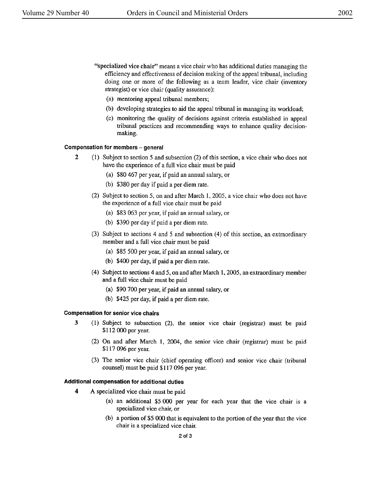- ''specialized vice chair'' means a vice chair who has additional duties managing the efficiency and effectiveness of decision making of the appeal tribunal, including doing one or more of the following as a team leader, vice chair (inventory strategist) or vice chair (quality assurance):
	- (a) mentoring appeal tribunal members;
	- (b) developing strategies to aid the appeal tribunal in managing its workload;
	- (c) monitoring the quality of decisions against criteria established in appeal tribunal practices and recommending ways to enhance quality decisionmaking.

#### **Compensation for members** - **general**

- 2 (1) Subject to section *5* and subsection (2) of this section, a vice chair who does not have the experience of a full vice chair must be paid
	- (a) \$80 467 per year, if paid an annual salary, or
	- (b) \$380 per day if paid a per diem rate.
	- (2) Subject to section 5, on and after March 1, 2005, a vice chair who does not have the experience of a full vice chair must be paid
		- (a) \$83 063 per year, if paid an annual salary, or
		- (b) \$390 per day if paid a per diem rate.
	- (3) Subject to sections 4 and *5* and subsection (4) of this section, an extraordinary member and a full vice chair must be paid
		- (a) \$85 500 per year, if paid an annual salary, or
		- (b) \$400 per day, if paid a per diem rate.
	- ( 4) Subject to sections 4 and 5, on and after March **1,** 2005, an extraordinary member and a full vice chair must be paid
		- (a) \$90 700 per year, if paid an annual salary, or
		- (b) \$425 per day, if paid a per diem rate.

#### **Compensation for senior vice chairs**

- **3** (1) Subject to subsection (2), the senior vice chair (registrar) must be paid \$112 000 per year.
	- (2) On and after March 1, 2004, the senior vice chair (registrar) must be paid \$117 096 per year.
	- (3) The senior vice chair (chief operating officer) and senior vice chair (tribunal counsel) must be paid \$117 096 per year.

#### **Additional compensation for additional duties**

- **4** A specialized vice chair must be paid
	- (a) an additional \$5 000 per year for each year that the vice chair is a specialized vice chair, or
	- (b) a portion of \$5 000 that is equivalent to the portion of the year that the vice chair is a specialized vice chair.